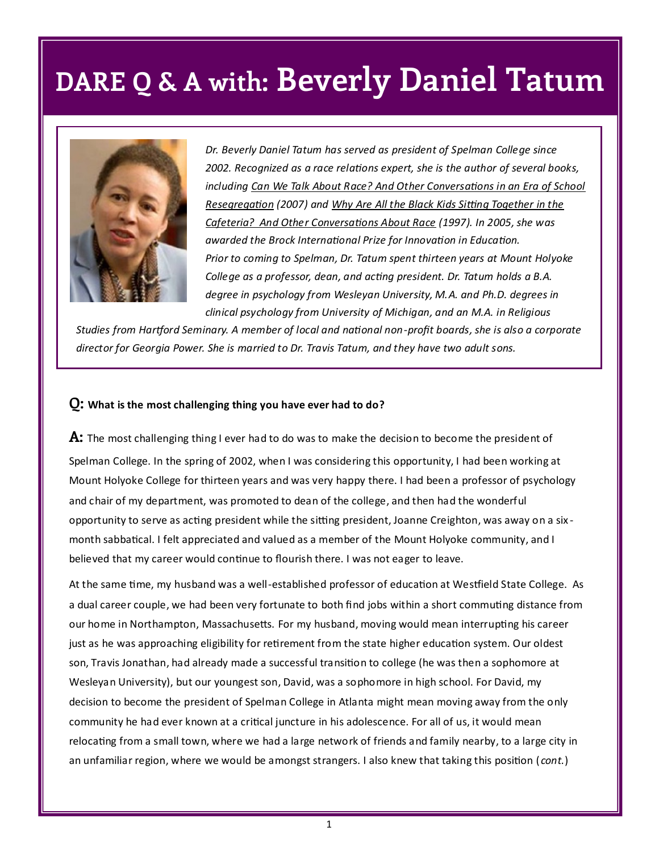

*Dr. Beverly Daniel Tatum has served as president of Spelman College since 2002. Recognized as a race relations expert, she is the author of several books, including Can We Talk About Race? And Other Conversations in an Era of School Resegregation (2007) and Why Are All the Black Kids Sitting Together in the Cafeteria? And Other Conversations About Race (1997). In 2005, she was awarded the Brock International Prize for Innovation in Education. Prior to coming to Spelman, Dr. Tatum spent thirteen years at Mount Holyoke College as a professor, dean, and acting president. Dr. Tatum holds a B.A. degree in psychology from Wesleyan University, M.A. and Ph.D. degrees in clinical psychology from University of Michigan, and an M.A. in Religious* 

*Studies from Hartford Seminary. A member of local and national non-profit boards, she is also a corporate director for Georgia Power. She is married to Dr. Travis Tatum, and they have two adult sons.* 

#### **Q: What is the most challenging thing you have ever had to do?**

**A:** The most challenging thing I ever had to do was to make the decision to become the president of Spelman College. In the spring of 2002, when I was considering this opportunity, I had been working at Mount Holyoke College for thirteen years and was very happy there. I had been a professor of psychology and chair of my department, was promoted to dean of the college, and then had the wonderful opportunity to serve as acting president while the sitting president, Joanne Creighton, was away on a six month sabbatical. I felt appreciated and valued as a member of the Mount Holyoke community, and I believed that my career would continue to flourish there. I was not eager to leave.

At the same time, my husband was a well-established professor of education at Westfield State College. As a dual career couple, we had been very fortunate to both find jobs within a short commuting distance from our home in Northampton, Massachusetts. For my husband, moving would mean interrupting his career just as he was approaching eligibility for retirement from the state higher education system. Our oldest son, Travis Jonathan, had already made a successful transition to college (he was then a sophomore at Wesleyan University), but our youngest son, David, was a sophomore in high school. For David, my decision to become the president of Spelman College in Atlanta might mean moving away from the only community he had ever known at a critical juncture in his adolescence. For all of us, it would mean relocating from a small town, where we had a large network of friends and family nearby, to a large city in an unfamiliar region, where we would be amongst strangers. I also knew that taking this position ( *cont.*)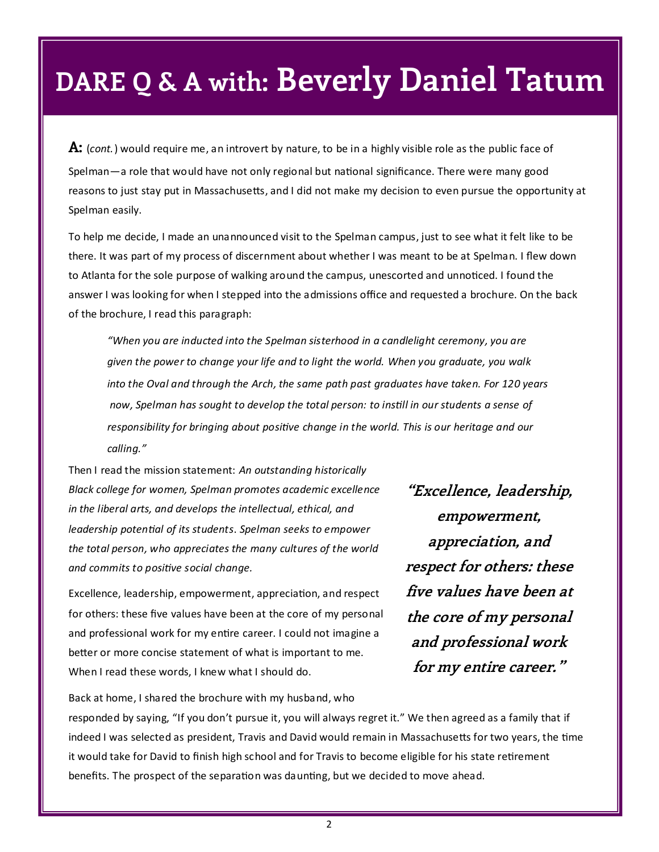**A:** (*cont.*) would require me, an introvert by nature, to be in a highly visible role as the public face of Spelman—a role that would have not only regional but national significance. There were many good reasons to just stay put in Massachusetts, and I did not make my decision to even pursue the opportunity at Spelman easily.

To help me decide, I made an unannounced visit to the Spelman campus, just to see what it felt like to be there. It was part of my process of discernment about whether I was meant to be at Spelman. I flew down to Atlanta for the sole purpose of walking around the campus, unescorted and unnoticed. I found the answer I was looking for when I stepped into the admissions office and requested a brochure. On the back of the brochure, I read this paragraph:

*"When you are inducted into the Spelman sisterhood in a candlelight ceremony, you are given the power to change your life and to light the world. When you graduate, you walk into the Oval and through the Arch, the same path past graduates have taken. For 120 years now, Spelman has sought to develop the total person: to instill in our students a sense of responsibility for bringing about positive change in the world. This is our heritage and our calling."*

Then I read the mission statement: *An outstanding historically Black college for women, Spelman promotes academic excellence in the liberal arts, and develops the intellectual, ethical, and leadership potential of its students*. *Spelman seeks to empower the total person, who appreciates the many cultures of the world and commits to positive social change.*

Excellence, leadership, empowerment, appreciation, and respect for others: these five values have been at the core of my personal and professional work for my entire career. I could not imagine a better or more concise statement of what is important to me. When I read these words, I knew what I should do.

**"Excellence, leadership, empowerment, appreciation, and respect for others: these five values have been at the core of my personal and professional work for my entire career."**

Back at home, I shared the brochure with my husband, who responded by saying, "If you don't pursue it, you will always regret it." We then agreed as a family that if indeed I was selected as president, Travis and David would remain in Massachusetts for two years, the time it would take for David to finish high school and for Travis to become eligible for his state retirement benefits. The prospect of the separation was daunting, but we decided to move ahead.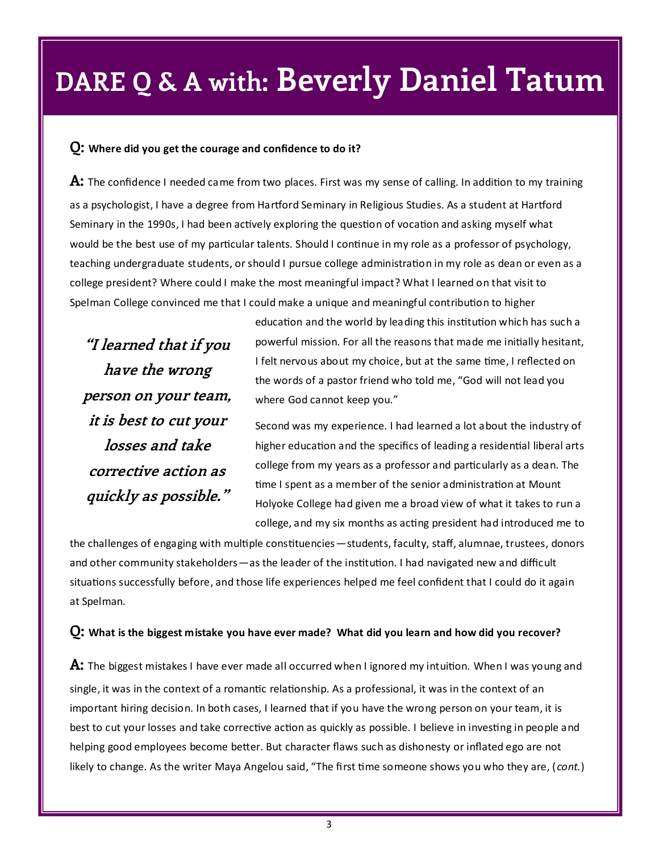#### **Q: Where did you get the courage and confidence to do it?**

**A:** The confidence I needed came from two places. First was my sense of calling. In addition to my training as a psychologist, I have a degree from Hartford Seminary in Religious Studies. As a student at Hartford Seminary in the 1990s, I had been actively exploring the question of vocation and asking myself what would be the best use of my particular talents. Should I continue in my role as a professor of psychology, teaching undergraduate students, or should I pursue college administration in my role as dean or even as a college president? Where could I make the most meaningful impact? What I learned on that visit to Spelman College convinced me that I could make a unique and meaningful contribution to higher

**"I learned that if you have the wrong person on your team, it is best to cut your losses and take corrective action as quickly as possible."**

education and the world by leading this institution which has such a powerful mission. For all the reasons that made me initially hesitant, I felt nervous about my choice, but at the same time, I reflected on the words of a pastor friend who told me, "God will not lead you where God cannot keep you."

Second was my experience. I had learned a lot about the industry of higher education and the specifics of leading a residential liberal arts college from my years as a professor and particularly as a dean. The time I spent as a member of the senior administration at Mount Holyoke College had given me a broad view of what it takes to run a college, and my six months as acting president had introduced me to

the challenges of engaging with multiple constituencies—students, faculty, staff, alumnae, trustees, donors and other community stakeholders —as the leader of the institution. I had navigated new and difficult situations successfully before, and those life experiences helped me feel confident that I could do it again at Spelman.

#### **Q: What is the biggest mistake you have ever made? What did you learn and how did you recover?**

**A:** The biggest mistakes I have ever made all occurred when I ignored my intuition. When I was young and single, it was in the context of a romantic relationship. As a professional, it was in the context of an important hiring decision. In both cases, I learned that if you have the wrong person on your team, it is best to cut your losses and take corrective action as quickly as possible. I believe in investing in people and helping good employees become better. But character flaws such as dishonesty or inflated ego are not likely to change. As the writer Maya Angelou said, "The first time someone shows you who they are, ( *cont.*)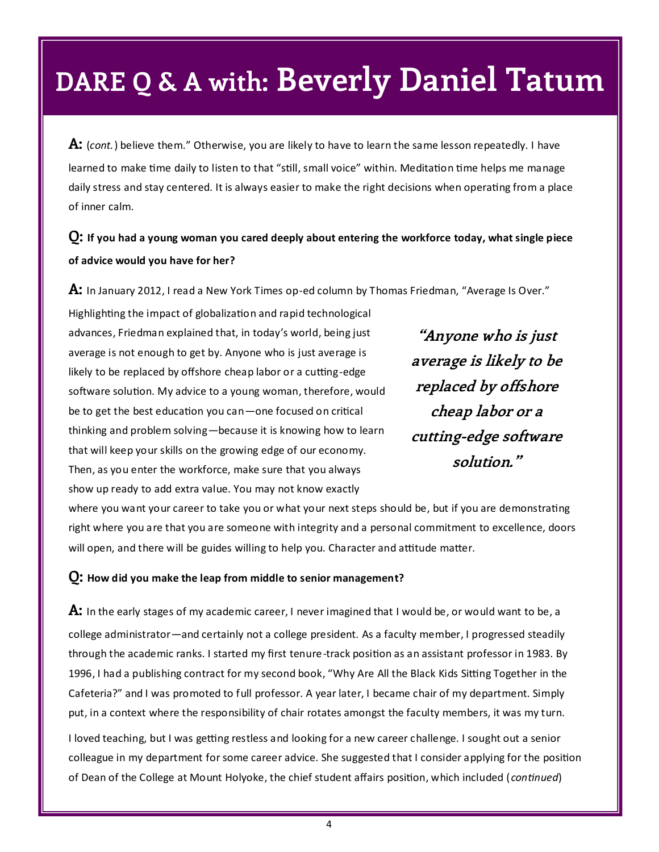**A:** (*cont.*) believe them." Otherwise, you are likely to have to learn the same lesson repeatedly. I have learned to make time daily to listen to that "still, small voice" within. Meditation time helps me manage daily stress and stay centered. It is always easier to make the right decisions when operating from a place of inner calm.

### **Q: If you had a young woman you cared deeply about entering the workforce today, what single piece of advice would you have for her?**

**A:** In January 2012, I read a New York Times op-ed column by Thomas Friedman, "Average Is Over."

Highlighting the impact of globalization and rapid technological advances, Friedman explained that, in today's world, being just average is not enough to get by. Anyone who is just average is likely to be replaced by offshore cheap labor or a cutting-edge software solution. My advice to a young woman, therefore, would be to get the best education you can—one focused on critical thinking and problem solving—because it is knowing how to learn that will keep your skills on the growing edge of our economy. Then, as you enter the workforce, make sure that you always show up ready to add extra value. You may not know exactly

**"Anyone who is just average is likely to be replaced by offshore cheap labor or a cutting-edge software solution."**

where you want your career to take you or what your next steps should be, but if you are demonstrating right where you are that you are someone with integrity and a personal commitment to excellence, doors will open, and there will be guides willing to help you. Character and attitude matter.

#### **Q: How did you make the leap from middle to senior management?**

**A:** In the early stages of my academic career, I never imagined that I would be, or would want to be, a college administrator—and certainly not a college president. As a faculty member, I progressed steadily through the academic ranks. I started my first tenure-track position as an assistant professor in 1983. By 1996, I had a publishing contract for my second book, "Why Are All the Black Kids Sitting Together in the Cafeteria?" and I was promoted to full professor. A year later, I became chair of my department. Simply put, in a context where the responsibility of chair rotates amongst the faculty members, it was my turn.

I loved teaching, but I was getting restless and looking for a new career challenge. I sought out a senior colleague in my department for some career advice. She suggested that I consider applying for the position of Dean of the College at Mount Holyoke, the chief student affairs position, which included (*continued*)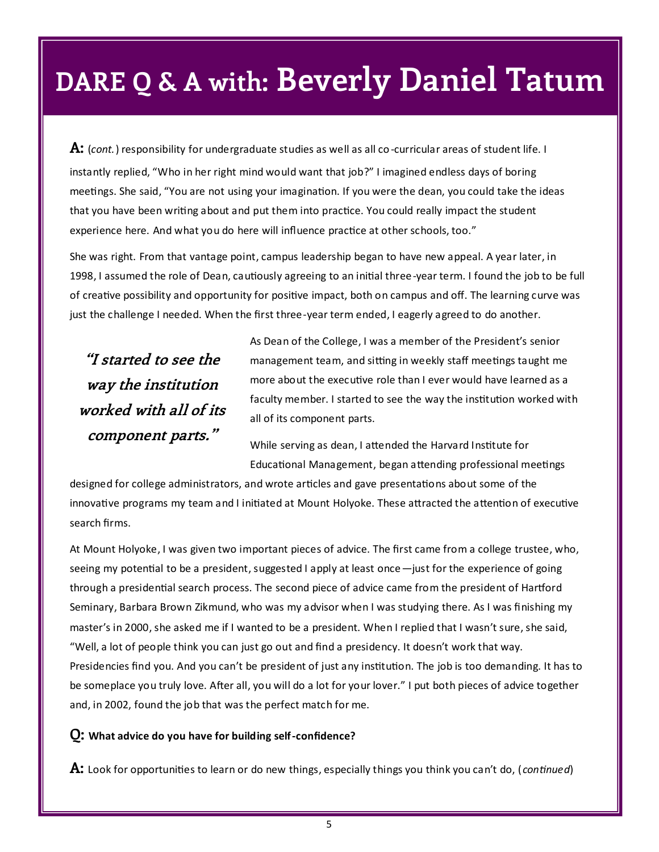**A:** (*cont.*) responsibility for undergraduate studies as well as all co-curricular areas of student life. I instantly replied, "Who in her right mind would want that job?" I imagined endless days of boring meetings. She said, "You are not using your imagination. If you were the dean, you could take the ideas that you have been writing about and put them into practice. You could really impact the student experience here. And what you do here will influence practice at other schools, too."

She was right. From that vantage point, campus leadership began to have new appeal. A year later, in 1998, I assumed the role of Dean, cautiously agreeing to an initial three-year term. I found the job to be full of creative possibility and opportunity for positive impact, both on campus and off. The learning curve was just the challenge I needed. When the first three-year term ended, I eagerly agreed to do another.

**"I started to see the way the institution worked with all of its component parts."**

As Dean of the College, I was a member of the President's senior management team, and sitting in weekly staff meetings taught me more about the executive role than I ever would have learned as a faculty member. I started to see the way the institution worked with all of its component parts.

While serving as dean, I attended the Harvard Institute for Educational Management, began attending professional meetings

designed for college administrators, and wrote articles and gave presentations about some of the innovative programs my team and I initiated at Mount Holyoke. These attracted the attention of executive search firms.

At Mount Holyoke, I was given two important pieces of advice. The first came from a college trustee, who, seeing my potential to be a president, suggested I apply at least once—just for the experience of going through a presidential search process. The second piece of advice came from the president of Hartford Seminary, Barbara Brown Zikmund, who was my advisor when I was studying there. As I was finishing my master's in 2000, she asked me if I wanted to be a president. When I replied that I wasn't sure, she said, "Well, a lot of people think you can just go out and find a presidency. It doesn't work that way. Presidencies find you. And you can't be president of just any institution. The job is too demanding. It has to be someplace you truly love. After all, you will do a lot for your lover." I put both pieces of advice together and, in 2002, found the job that was the perfect match for me.

#### **Q: What advice do you have for building self-confidence?**

**A:** Look for opportunities to learn or do new things, especially things you think you can't do, ( *continued*)